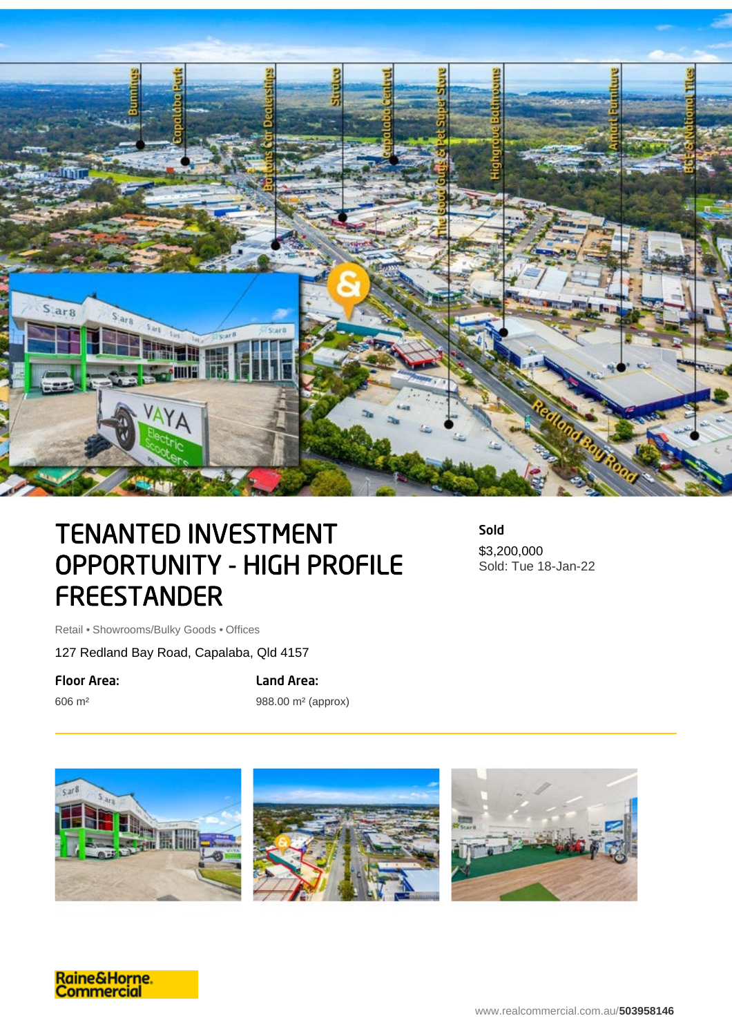

## TENANTED INVESTMENT OPPORTUNITY - HIGH PROFILE **FREESTANDER**

Sold \$3,200,000 Sold: Tue 18-Jan-22

Retail • Showrooms/Bulky Goods • Offices

127 Redland Bay Road, Capalaba, Qld 4157

Floor Area:

606 m²

Land Area:

988.00 m² (approx)